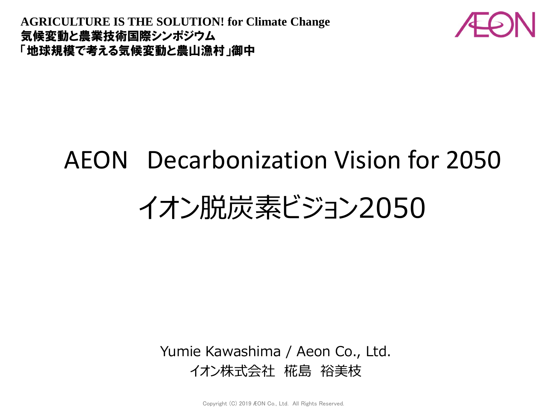**AGRICULTURE IS THE SOLUTION! for Climate Change** 気候変動と農業技術国際シンポジウム 「地球規模で考える気候変動と農山漁村」御中



## AEON Decarbonization Vision for 2050

# イオン脱炭素ビジョン2050

Yumie Kawashima / Aeon Co., Ltd. イオン株式会社 椛島 裕美枝

Copyright (C) 2019 ÆON Co., Ltd. All Rights Reserved.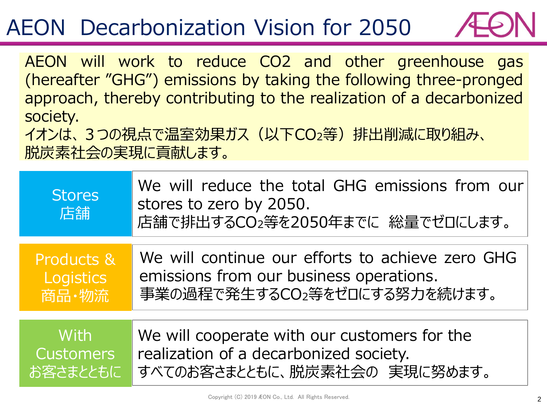#### AEON Decarbonization Vision for 2050



AEON will work to reduce CO2 and other greenhouse gas (hereafter "GHG") emissions by taking the following three-pronged approach, thereby contributing to the realization of a decarbonized society.

イオンは、3つの視点で温室効果ガス(以下CO2等)排出削減に取り組み、 脱炭素社会の実現に貢献します。

| <b>Stores</b><br>店舗 | We will reduce the total GHG emissions from our<br>stores to zero by 2050.<br>店舗で排出するCO2等を2050年までに 総量でゼロにします。 |
|---------------------|---------------------------------------------------------------------------------------------------------------|
| Products &          | We will continue our efforts to achieve zero GHG                                                              |
| Logistics           | emissions from our business operations.                                                                       |
| 商品·物流               | 事業の過程で発生するCO2等をゼロにする努力を続けます。                                                                                  |
| With                | We will cooperate with our customers for the                                                                  |
| <b>Customers</b>    | realization of a decarbonized society.                                                                        |
| お客さまとともに            | すべてのお客さまとともに、脱炭素社会の実現に努めます。                                                                                   |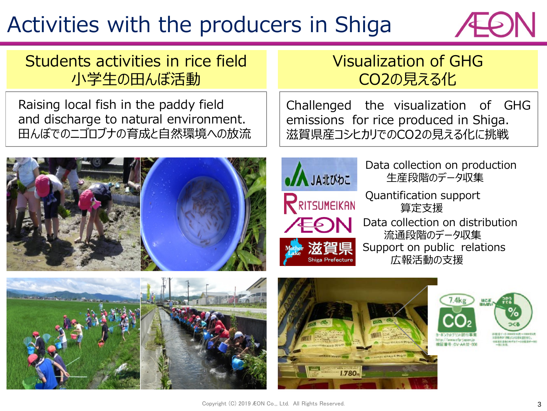## Activities with the producers in Shiga



Students activities in rice field 小学生の田んぼ活動

Raising local fish in the paddy field and discharge to natural environment. 田んぼでのニゴロブナの育成と自然環境への放流



#### Visualization of GHG CO2の見える化

Challenged the visualization of GHG emissions for rice produced in Shiga. 滋賀県産コシヒカリでのCO2の見える化に挑戦



Data collection on production 生産段階のデータ収集

Quantification support 算定支援

Data collection on distribution 流通段階のデータ収集 Support on public relations 広報活動の支援



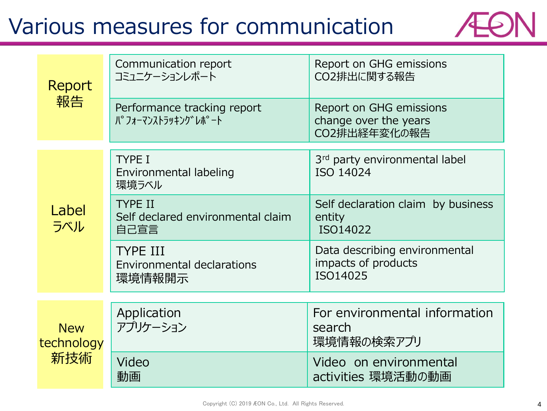### Various measures for communication



| Report<br>報告                    | Communication report<br>コミュニケーションレポート                          | Report on GHG emissions<br>CO2排出に関する報告                           |
|---------------------------------|----------------------------------------------------------------|------------------------------------------------------------------|
|                                 | Performance tracking report<br>Л° フォーマンストラッキンク゛レホ° –ト          | Report on GHG emissions<br>change over the years<br>CO2排出経年変化の報告 |
| Label<br>ラベル                    | <b>TYPE I</b><br>Environmental labeling<br>環境ラベル               | 3rd party environmental label<br>ISO 14024                       |
|                                 | <b>TYPE II</b><br>Self declared environmental claim<br>自己宣言    | Self declaration claim by business<br>entity<br>ISO14022         |
|                                 | <b>TYPE III</b><br><b>Environmental declarations</b><br>環境情報開示 | Data describing environmental<br>impacts of products<br>ISO14025 |
| <b>New</b><br>technology<br>新技術 | Application<br>アプリケーション                                        | For environmental information<br>search<br>環境情報の検索アプリ            |
|                                 | Video<br>動画                                                    | Video on environmental<br>activities 環境活動の動画                     |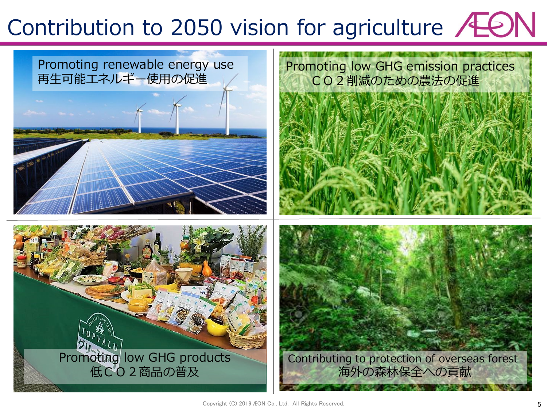# Contribution to 2050 vision for agriculture /LON